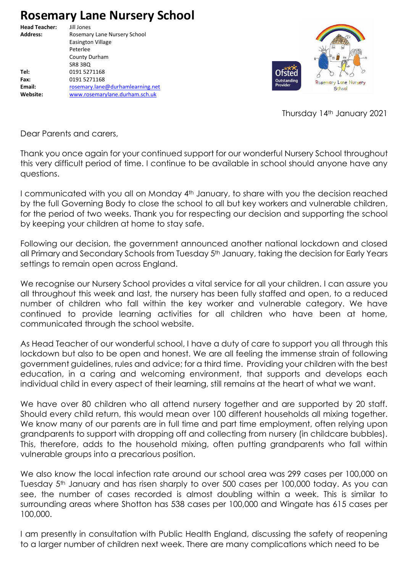## **Rosemary Lane Nursery School**

**Head Teacher:** Jill Jones Address: Rosemary Lane Nursery School Easington Village Peterlee County Durham SR8 3BQ **Tel:** 0191 5271168 **Fax:** 0191 5271168 **Email:** [rosemary.lane@durhamlearning.net](mailto:rosemary.lane@durhamlearning.net) **Website:** [www.rosemarylane.durham.sch.uk](http://www.rosemarylane.durham.sch.uk/) 



Thursday 14th January 2021

Dear Parents and carers,

Thank you once again for your continued support for our wonderful Nursery School throughout this very difficult period of time. I continue to be available in school should anyone have any questions.

I communicated with you all on Monday 4<sup>th</sup> January, to share with you the decision reached by the full Governing Body to close the school to all but key workers and vulnerable children, for the period of two weeks. Thank you for respecting our decision and supporting the school by keeping your children at home to stay safe.

Following our decision, the government announced another national lockdown and closed all Primary and Secondary Schools from Tuesday 5<sup>th</sup> January, taking the decision for Early Years settings to remain open across England.

We recognise our Nursery School provides a vital service for all your children. I can assure you all throughout this week and last, the nursery has been fully staffed and open, to a reduced number of children who fall within the key worker and vulnerable category. We have continued to provide learning activities for all children who have been at home, communicated through the school website.

As Head Teacher of our wonderful school, I have a duty of care to support you all through this lockdown but also to be open and honest. We are all feeling the immense strain of following government guidelines, rules and advice; for a third time. Providing your children with the best education, in a caring and welcoming environment, that supports and develops each individual child in every aspect of their learning, still remains at the heart of what we want.

We have over 80 children who all attend nursery together and are supported by 20 staff. Should every child return, this would mean over 100 different households all mixing together. We know many of our parents are in full time and part time employment, often relying upon grandparents to support with dropping off and collecting from nursery (in childcare bubbles). This, therefore, adds to the household mixing, often putting grandparents who fall within vulnerable groups into a precarious position.

We also know the local infection rate around our school area was 299 cases per 100,000 on Tuesday 5<sup>th</sup> January and has risen sharply to over 500 cases per 100,000 today. As you can see, the number of cases recorded is almost doubling within a week. This is similar to surrounding areas where Shotton has 538 cases per 100,000 and Wingate has 615 cases per 100,000.

I am presently in consultation with Public Health England, discussing the safety of reopening to a larger number of children next week. There are many complications which need to be